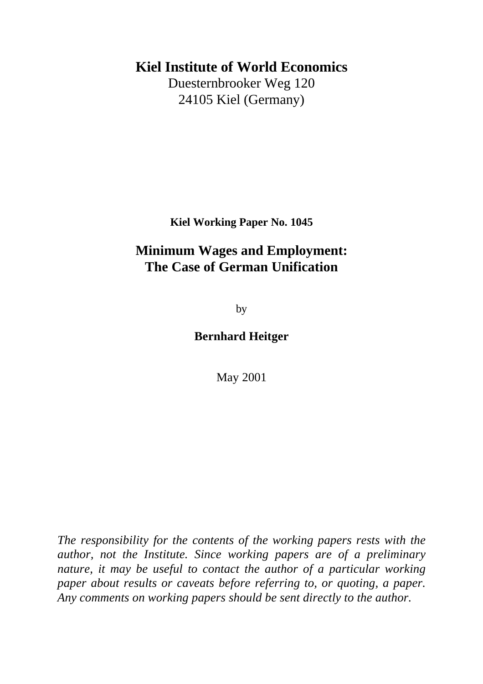### **Kiel Institute of World Economics**

Duesternbrooker Weg 120 24105 Kiel (Germany)

**Kiel Working Paper No. 1045**

## **Minimum Wages and Employment: The Case of German Unification**

by

### **Bernhard Heitger**

May 2001

*The responsibility for the contents of the working papers rests with the author, not the Institute. Since working papers are of a preliminary nature, it may be useful to contact the author of a particular working paper about results or caveats before referring to, or quoting, a paper. Any comments on working papers should be sent directly to the author.*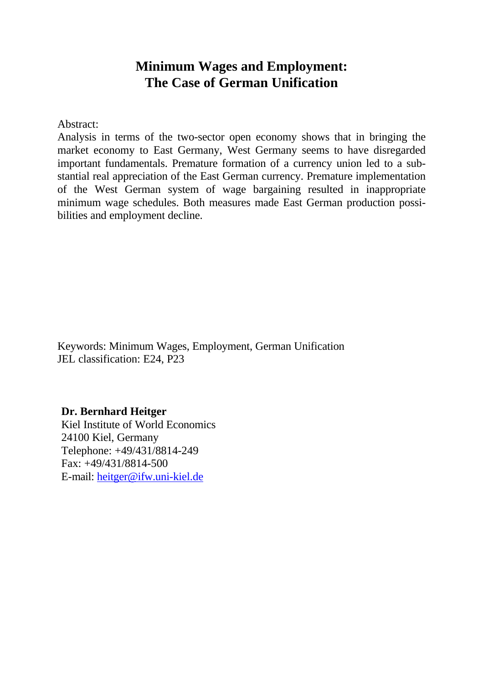### **Minimum Wages and Employment: The Case of German Unification**

Abstract:

Analysis in terms of the two-sector open economy shows that in bringing the market economy to East Germany, West Germany seems to have disregarded important fundamentals. Premature formation of a currency union led to a substantial real appreciation of the East German currency. Premature implementation of the West German system of wage bargaining resulted in inappropriate minimum wage schedules. Both measures made East German production possibilities and employment decline.

Keywords: Minimum Wages, Employment, German Unification JEL classification: E24, P23

**Dr. Bernhard Heitger** Kiel Institute of World Economics 24100 Kiel, Germany Telephone: +49/431/8814-249 Fax: +49/431/8814-500 E-mail: heitger@ifw.uni-kiel.de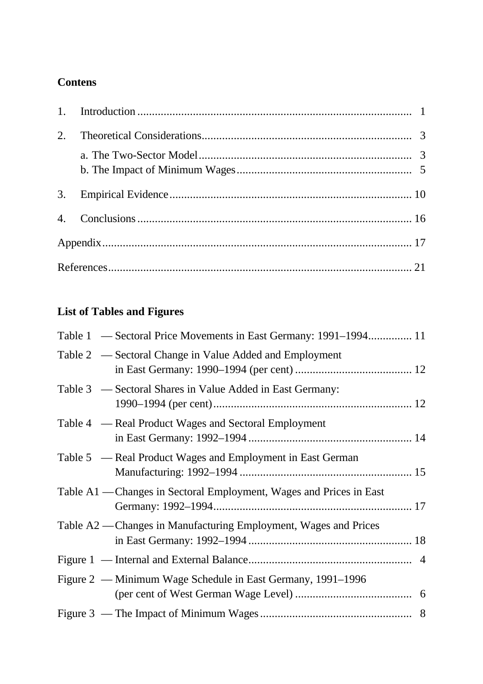### **Contens**

| 2. |  |
|----|--|
|    |  |
|    |  |
|    |  |
|    |  |
|    |  |
|    |  |

# **List of Tables and Figures**

| Table 1 — Sectoral Price Movements in East Germany: 1991–1994 11    |  |
|---------------------------------------------------------------------|--|
| Table 2 — Sectoral Change in Value Added and Employment             |  |
| Table 3 — Sectoral Shares in Value Added in East Germany:           |  |
| Table 4 — Real Product Wages and Sectoral Employment                |  |
| Table 5 — Real Product Wages and Employment in East German          |  |
| Table A1 — Changes in Sectoral Employment, Wages and Prices in East |  |
| Table A2 — Changes in Manufacturing Employment, Wages and Prices    |  |
|                                                                     |  |
| Figure 2 — Minimum Wage Schedule in East Germany, 1991–1996         |  |
|                                                                     |  |
|                                                                     |  |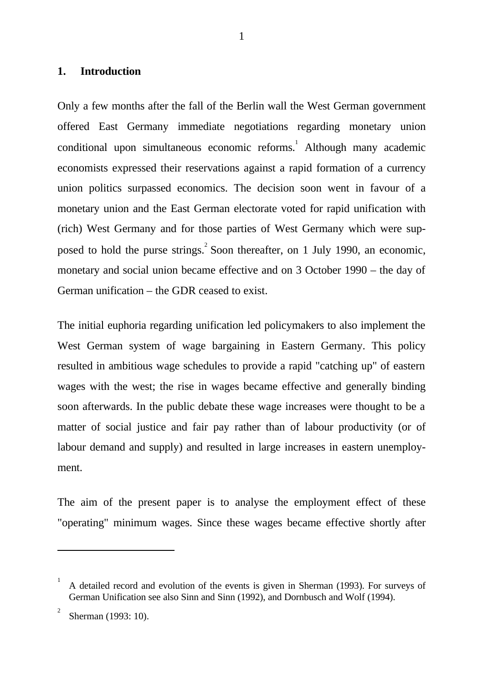#### **1. Introduction**

Only a few months after the fall of the Berlin wall the West German government offered East Germany immediate negotiations regarding monetary union conditional upon simultaneous economic reforms.<sup>1</sup> Although many academic economists expressed their reservations against a rapid formation of a currency union politics surpassed economics. The decision soon went in favour of a monetary union and the East German electorate voted for rapid unification with (rich) West Germany and for those parties of West Germany which were supposed to hold the purse strings. Soon thereafter, on 1 July 1990, an economic, monetary and social union became effective and on 3 October 1990 – the day of German unification – the GDR ceased to exist.

The initial euphoria regarding unification led policymakers to also implement the West German system of wage bargaining in Eastern Germany. This policy resulted in ambitious wage schedules to provide a rapid "catching up" of eastern wages with the west; the rise in wages became effective and generally binding soon afterwards. In the public debate these wage increases were thought to be a matter of social justice and fair pay rather than of labour productivity (or of labour demand and supply) and resulted in large increases in eastern unemployment.

The aim of the present paper is to analyse the employment effect of these "operating" minimum wages. Since these wages became effective shortly after

 $\overline{a}$ 

<sup>1</sup> A detailed record and evolution of the events is given in Sherman (1993). For surveys of German Unification see also Sinn and Sinn (1992), and Dornbusch and Wolf (1994).

<sup>2</sup> Sherman (1993: 10).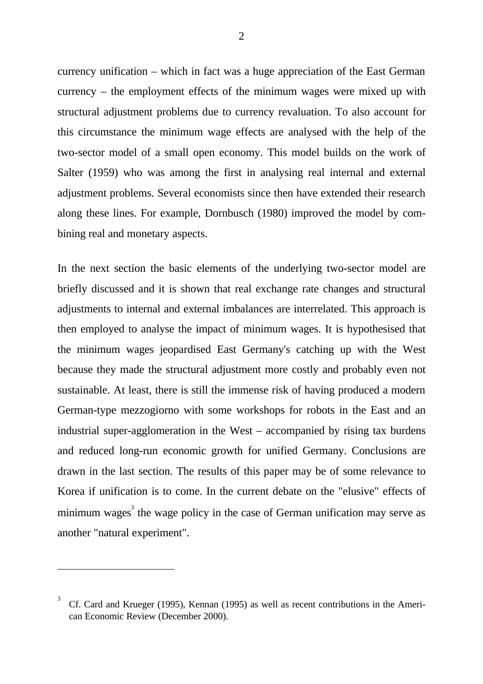currency unification – which in fact was a huge appreciation of the East German currency – the employment effects of the minimum wages were mixed up with structural adjustment problems due to currency revaluation. To also account for this circumstance the minimum wage effects are analysed with the help of the two-sector model of a small open economy. This model builds on the work of Salter (1959) who was among the first in analysing real internal and external adjustment problems. Several economists since then have extended their research along these lines. For example, Dornbusch (1980) improved the model by combining real and monetary aspects.

In the next section the basic elements of the underlying two-sector model are briefly discussed and it is shown that real exchange rate changes and structural adjustments to internal and external imbalances are interrelated. This approach is then employed to analyse the impact of minimum wages. It is hypothesised that the minimum wages jeopardised East Germany's catching up with the West because they made the structural adjustment more costly and probably even not sustainable. At least, there is still the immense risk of having produced a modern German-type mezzogiorno with some workshops for robots in the East and an industrial super-agglomeration in the West – accompanied by rising tax burdens and reduced long-run economic growth for unified Germany. Conclusions are drawn in the last section. The results of this paper may be of some relevance to Korea if unification is to come. In the current debate on the "elusive" effects of minimum wages<sup>3</sup> the wage policy in the case of German unification may serve as another "natural experiment".

 $\ddot{\phantom{a}}$ 

<sup>3</sup> Cf. Card and Krueger (1995), Kennan (1995) as well as recent contributions in the American Economic Review (December 2000).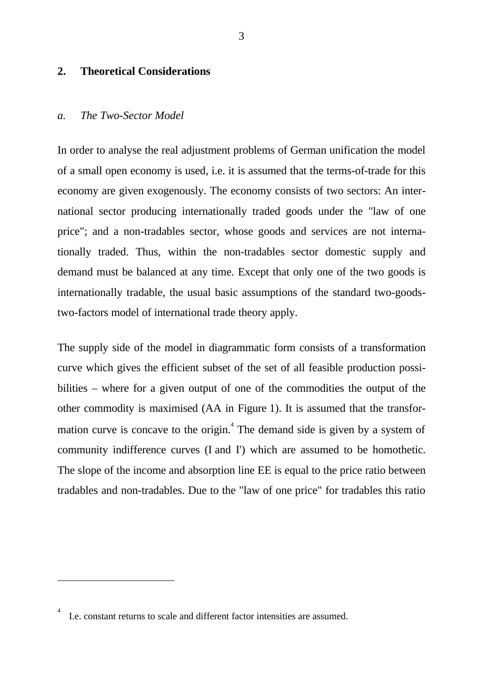#### **2. Theoretical Considerations**

#### *a. The Two-Sector Model*

In order to analyse the real adjustment problems of German unification the model of a small open economy is used, i.e. it is assumed that the terms-of-trade for this economy are given exogenously. The economy consists of two sectors: An international sector producing internationally traded goods under the "law of one price"; and a non-tradables sector, whose goods and services are not internationally traded. Thus, within the non-tradables sector domestic supply and demand must be balanced at any time. Except that only one of the two goods is internationally tradable, the usual basic assumptions of the standard two-goodstwo-factors model of international trade theory apply.

The supply side of the model in diagrammatic form consists of a transformation curve which gives the efficient subset of the set of all feasible production possibilities – where for a given output of one of the commodities the output of the other commodity is maximised (AA in Figure 1). It is assumed that the transformation curve is concave to the origin. $<sup>4</sup>$  The demand side is given by a system of</sup> community indifference curves (I and I') which are assumed to be homothetic. The slope of the income and absorption line EE is equal to the price ratio between tradables and non-tradables. Due to the "law of one price" for tradables this ratio

 $\overline{a}$ 

4

I.e. constant returns to scale and different factor intensities are assumed.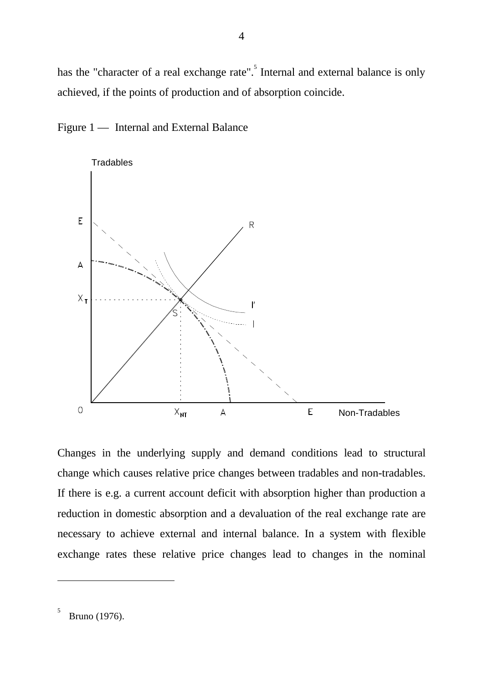has the "character of a real exchange rate". Internal and external balance is only achieved, if the points of production and of absorption coincide.





Changes in the underlying supply and demand conditions lead to structural change which causes relative price changes between tradables and non-tradables. If there is e.g. a current account deficit with absorption higher than production a reduction in domestic absorption and a devaluation of the real exchange rate are necessary to achieve external and internal balance. In a system with flexible exchange rates these relative price changes lead to changes in the nominal

Bruno (1976).

 $\overline{a}$ 

5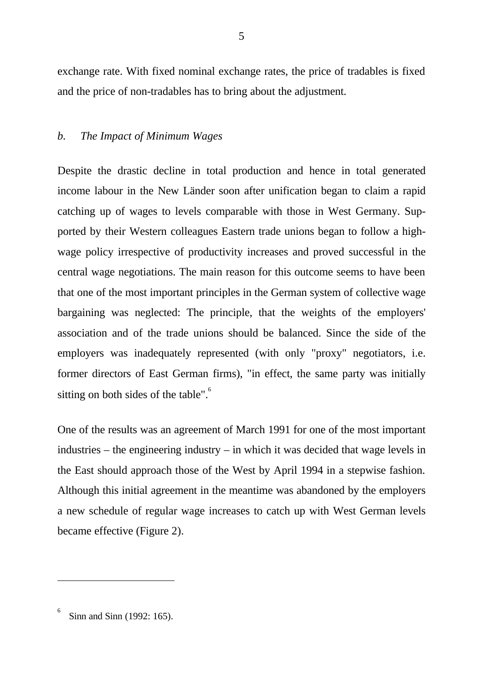exchange rate. With fixed nominal exchange rates, the price of tradables is fixed and the price of non-tradables has to bring about the adjustment.

#### *b. The Impact of Minimum Wages*

Despite the drastic decline in total production and hence in total generated income labour in the New Länder soon after unification began to claim a rapid catching up of wages to levels comparable with those in West Germany. Supported by their Western colleagues Eastern trade unions began to follow a highwage policy irrespective of productivity increases and proved successful in the central wage negotiations. The main reason for this outcome seems to have been that one of the most important principles in the German system of collective wage bargaining was neglected: The principle, that the weights of the employers' association and of the trade unions should be balanced. Since the side of the employers was inadequately represented (with only "proxy" negotiators, i.e. former directors of East German firms), "in effect, the same party was initially sitting on both sides of the table".<sup>6</sup>

One of the results was an agreement of March 1991 for one of the most important industries – the engineering industry – in which it was decided that wage levels in the East should approach those of the West by April 1994 in a stepwise fashion. Although this initial agreement in the meantime was abandoned by the employers a new schedule of regular wage increases to catch up with West German levels became effective (Figure 2).

 $\overline{a}$ 

6

Sinn and Sinn (1992: 165).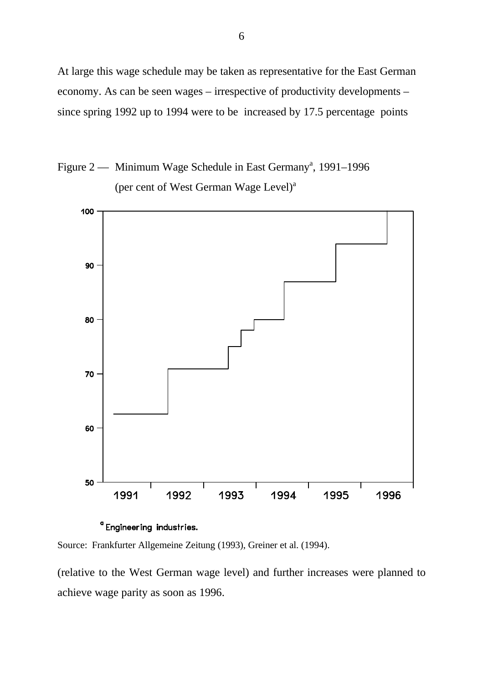At large this wage schedule may be taken as representative for the East German economy. As can be seen wages – irrespective of productivity developments – since spring 1992 up to 1994 were to be increased by 17.5 percentage points





<sup>a</sup> Engineering industries.

Source: Frankfurter Allgemeine Zeitung (1993), Greiner et al. (1994).

(relative to the West German wage level) and further increases were planned to achieve wage parity as soon as 1996.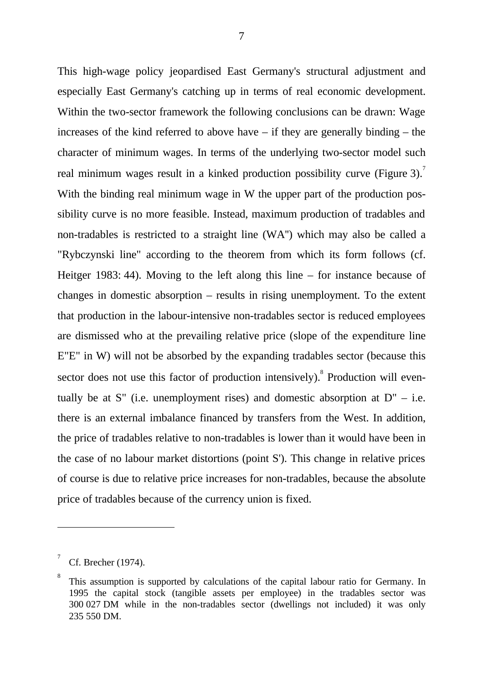This high-wage policy jeopardised East Germany's structural adjustment and especially East Germany's catching up in terms of real economic development. Within the two-sector framework the following conclusions can be drawn: Wage increases of the kind referred to above have – if they are generally binding – the character of minimum wages. In terms of the underlying two-sector model such real minimum wages result in a kinked production possibility curve (Figure 3).<sup>7</sup> With the binding real minimum wage in W the upper part of the production possibility curve is no more feasible. Instead, maximum production of tradables and non-tradables is restricted to a straight line (WA'') which may also be called a "Rybczynski line" according to the theorem from which its form follows (cf. Heitger 1983: 44). Moving to the left along this line – for instance because of changes in domestic absorption – results in rising unemployment. To the extent that production in the labour-intensive non-tradables sector is reduced employees are dismissed who at the prevailing relative price (slope of the expenditure line E"E" in W) will not be absorbed by the expanding tradables sector (because this sector does not use this factor of production intensively). Production will eventually be at S" (i.e. unemployment rises) and domestic absorption at  $D'' - i.e.$ there is an external imbalance financed by transfers from the West. In addition, the price of tradables relative to non-tradables is lower than it would have been in the case of no labour market distortions (point S'). This change in relative prices of course is due to relative price increases for non-tradables, because the absolute price of tradables because of the currency union is fixed.

 $\overline{a}$ 

<sup>7</sup> Cf. Brecher (1974).

<sup>8</sup> This assumption is supported by calculations of the capital labour ratio for Germany. In 1995 the capital stock (tangible assets per employee) in the tradables sector was 300 027 DM while in the non-tradables sector (dwellings not included) it was only 235 550 DM.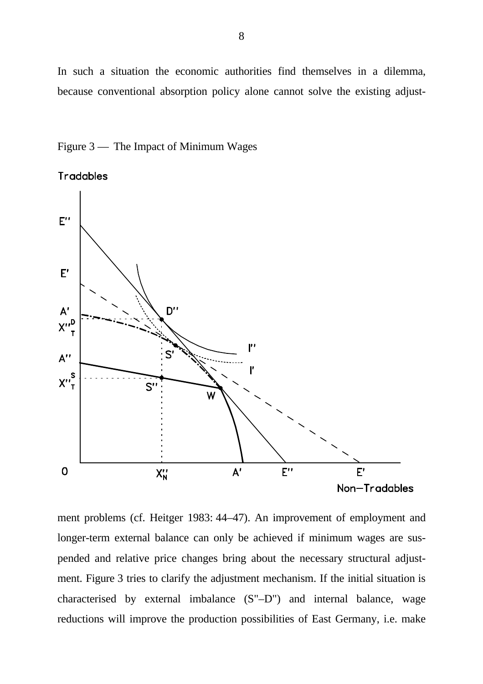In such a situation the economic authorities find themselves in a dilemma, because conventional absorption policy alone cannot solve the existing adjust-





ment problems (cf. Heitger 1983: 44–47). An improvement of employment and longer-term external balance can only be achieved if minimum wages are suspended and relative price changes bring about the necessary structural adjustment. Figure 3 tries to clarify the adjustment mechanism. If the initial situation is characterised by external imbalance (S"–D") and internal balance, wage reductions will improve the production possibilities of East Germany, i.e. make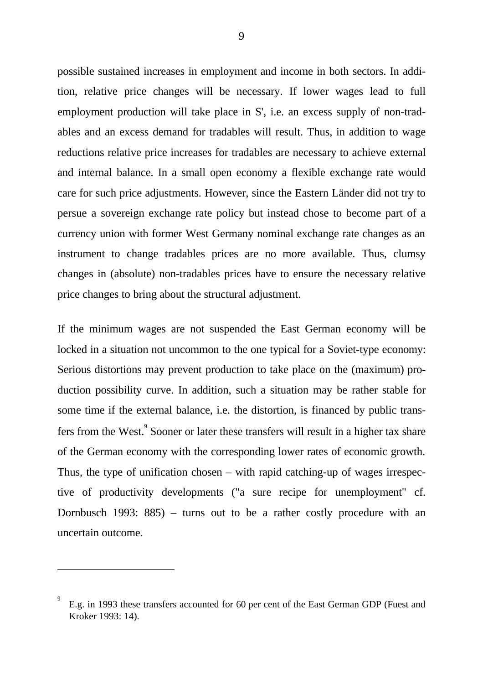possible sustained increases in employment and income in both sectors. In addition, relative price changes will be necessary. If lower wages lead to full employment production will take place in S', i.e. an excess supply of non-tradables and an excess demand for tradables will result. Thus, in addition to wage reductions relative price increases for tradables are necessary to achieve external and internal balance. In a small open economy a flexible exchange rate would care for such price adjustments. However, since the Eastern Länder did not try to persue a sovereign exchange rate policy but instead chose to become part of a currency union with former West Germany nominal exchange rate changes as an instrument to change tradables prices are no more available. Thus, clumsy changes in (absolute) non-tradables prices have to ensure the necessary relative price changes to bring about the structural adjustment.

If the minimum wages are not suspended the East German economy will be locked in a situation not uncommon to the one typical for a Soviet-type economy: Serious distortions may prevent production to take place on the (maximum) production possibility curve. In addition, such a situation may be rather stable for some time if the external balance, i.e. the distortion, is financed by public transfers from the West. Sooner or later these transfers will result in a higher tax share of the German economy with the corresponding lower rates of economic growth. Thus, the type of unification chosen – with rapid catching-up of wages irrespective of productivity developments ("a sure recipe for unemployment" cf. Dornbusch 1993: 885) – turns out to be a rather costly procedure with an uncertain outcome.

 $\ddot{\phantom{a}}$ 

<sup>9</sup> E.g. in 1993 these transfers accounted for 60 per cent of the East German GDP (Fuest and Kroker 1993: 14).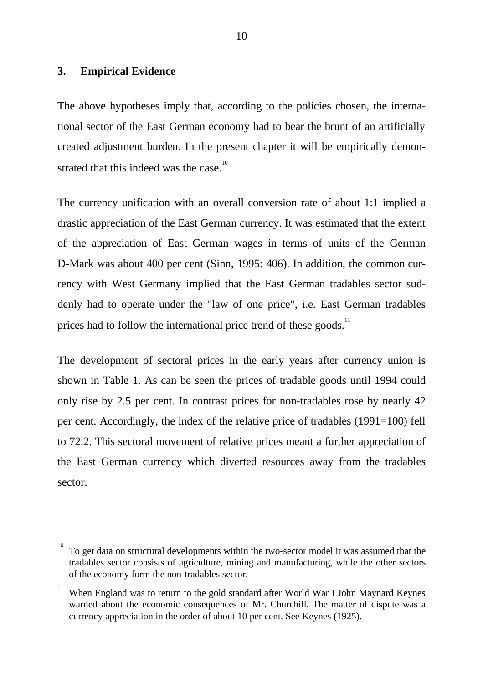#### **3. Empirical Evidence**

 $\overline{a}$ 

The above hypotheses imply that, according to the policies chosen, the international sector of the East German economy had to bear the brunt of an artificially created adjustment burden. In the present chapter it will be empirically demonstrated that this indeed was the case.<sup>10</sup>

The currency unification with an overall conversion rate of about 1:1 implied a drastic appreciation of the East German currency. It was estimated that the extent of the appreciation of East German wages in terms of units of the German D-Mark was about 400 per cent (Sinn, 1995: 406). In addition, the common currency with West Germany implied that the East German tradables sector suddenly had to operate under the "law of one price", i.e. East German tradables prices had to follow the international price trend of these goods.<sup>11</sup>

The development of sectoral prices in the early years after currency union is shown in Table 1. As can be seen the prices of tradable goods until 1994 could only rise by 2.5 per cent. In contrast prices for non-tradables rose by nearly 42 per cent. Accordingly, the index of the relative price of tradables (1991=100) fell to 72.2. This sectoral movement of relative prices meant a further appreciation of the East German currency which diverted resources away from the tradables sector.

<sup>10</sup> To get data on structural developments within the two-sector model it was assumed that the tradables sector consists of agriculture, mining and manufacturing, while the other sectors of the economy form the non-tradables sector.

<sup>11</sup> When England was to return to the gold standard after World War I John Maynard Keynes warned about the economic consequences of Mr. Churchill. The matter of dispute was a currency appreciation in the order of about 10 per cent. See Keynes (1925).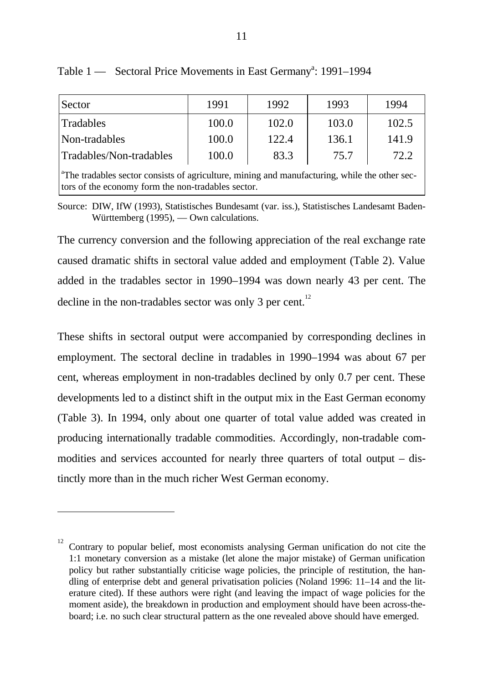| Sector                   | 1991  | 1992  | 1993  | 1994  |
|--------------------------|-------|-------|-------|-------|
| <b>Tradables</b>         | 100.0 | 102.0 | 103.0 | 102.5 |
| Non-tradables            | 100.0 | 122.4 | 136.1 | 141.9 |
| Tradables/Non-tradables  | 100.0 | 83.3  | 75.7  | 72.2  |
| $\overline{\phantom{a}}$ |       |       |       |       |

Table 1 — Sectoral Price Movements in East Germany<sup>a</sup>: 1991–1994

<sup>a</sup>The tradables sector consists of agriculture, mining and manufacturing, while the other sectors of the economy form the non-tradables sector.

Source: DIW, IfW (1993), Statistisches Bundesamt (var. iss.), Statistisches Landesamt Baden-Württemberg (1995), — Own calculations.

The currency conversion and the following appreciation of the real exchange rate caused dramatic shifts in sectoral value added and employment (Table 2). Value added in the tradables sector in 1990–1994 was down nearly 43 per cent. The decline in the non-tradables sector was only 3 per cent.<sup>12</sup>

These shifts in sectoral output were accompanied by corresponding declines in employment. The sectoral decline in tradables in 1990–1994 was about 67 per cent, whereas employment in non-tradables declined by only 0.7 per cent. These developments led to a distinct shift in the output mix in the East German economy (Table 3). In 1994, only about one quarter of total value added was created in producing internationally tradable commodities. Accordingly, non-tradable commodities and services accounted for nearly three quarters of total output – distinctly more than in the much richer West German economy.

 $\overline{a}$ 

<sup>12</sup> Contrary to popular belief, most economists analysing German unification do not cite the 1:1 monetary conversion as a mistake (let alone the major mistake) of German unification policy but rather substantially criticise wage policies, the principle of restitution, the handling of enterprise debt and general privatisation policies (Noland 1996: 11–14 and the literature cited). If these authors were right (and leaving the impact of wage policies for the moment aside), the breakdown in production and employment should have been across-theboard; i.e. no such clear structural pattern as the one revealed above should have emerged.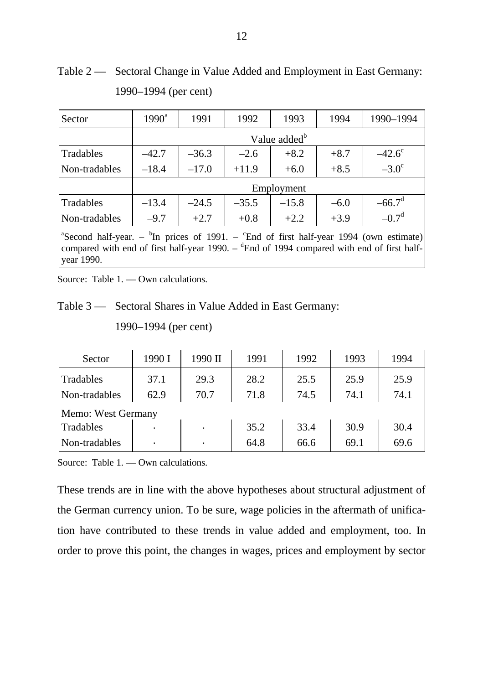| Sector                                                                                                                                                                                                                                        | $1990^{\rm a}$ | 1991                     | 1992    | 1993       | 1994   | 1990-1994       |  |  |
|-----------------------------------------------------------------------------------------------------------------------------------------------------------------------------------------------------------------------------------------------|----------------|--------------------------|---------|------------|--------|-----------------|--|--|
|                                                                                                                                                                                                                                               |                | Value added <sup>b</sup> |         |            |        |                 |  |  |
| Tradables                                                                                                                                                                                                                                     | $-42.7$        | $-36.3$                  | $-2.6$  | $+8.2$     | $+8.7$ | $-42.6^{\circ}$ |  |  |
| Non-tradables                                                                                                                                                                                                                                 | $-18.4$        | $-17.0$                  | $+11.9$ | $+6.0$     | $+8.5$ | $-3.0^\circ$    |  |  |
|                                                                                                                                                                                                                                               |                |                          |         | Employment |        |                 |  |  |
| Tradables                                                                                                                                                                                                                                     | $-13.4$        | $-24.5$                  | $-35.5$ | $-15.8$    | $-6.0$ | $-66.7^{\circ}$ |  |  |
| Non-tradables                                                                                                                                                                                                                                 | $-9.7$         | $+2.7$                   | $+0.8$  | $+2.2$     | $+3.9$ | $-0.7^d$        |  |  |
| <sup>a</sup> Second half-year. – <sup>b</sup> In prices of 1991. – <sup>c</sup> End of first half-year 1994 (own estimate)<br>compared with end of first half-year 1990. $ \delta$ End of 1994 compared with end of first half-<br>year 1990. |                |                          |         |            |        |                 |  |  |

Table 2 — Sectoral Change in Value Added and Employment in East Germany: 1990–1994 (per cent)

Source: Table 1. — Own calculations.

Table 3 — Sectoral Shares in Value Added in East Germany:

1990–1994 (per cent)

| Sector             | 1990 I         | 1990 II | 1991 | 1992 | 1993 | 1994 |  |  |
|--------------------|----------------|---------|------|------|------|------|--|--|
| Tradables          | 37.1           | 29.3    | 28.2 | 25.5 | 25.9 | 25.9 |  |  |
| Non-tradables      | 62.9           | 70.7    | 71.8 | 74.5 | 74.1 | 74.1 |  |  |
| Memo: West Germany |                |         |      |      |      |      |  |  |
| Tradables          |                |         | 35.2 | 33.4 | 30.9 | 30.4 |  |  |
| Non-tradables      | $\blacksquare$ |         | 64.8 | 66.6 | 69.1 | 69.6 |  |  |

Source: Table 1. — Own calculations.

These trends are in line with the above hypotheses about structural adjustment of the German currency union. To be sure, wage policies in the aftermath of unification have contributed to these trends in value added and employment, too. In order to prove this point, the changes in wages, prices and employment by sector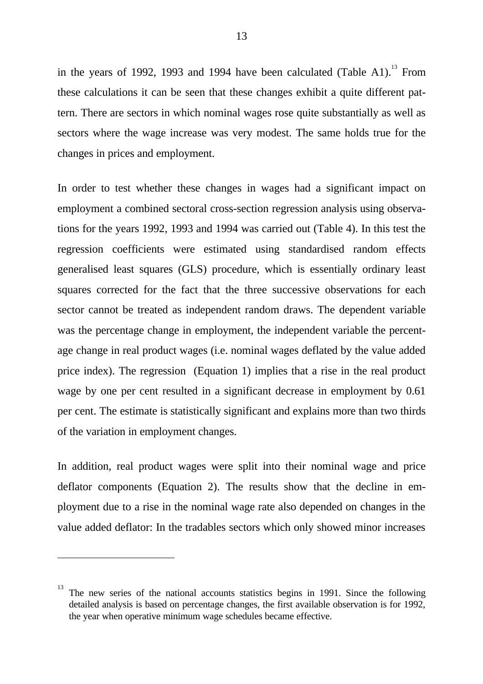in the years of 1992, 1993 and 1994 have been calculated (Table A1).<sup>13</sup> From these calculations it can be seen that these changes exhibit a quite different pattern. There are sectors in which nominal wages rose quite substantially as well as sectors where the wage increase was very modest. The same holds true for the changes in prices and employment.

In order to test whether these changes in wages had a significant impact on employment a combined sectoral cross-section regression analysis using observations for the years 1992, 1993 and 1994 was carried out (Table 4). In this test the regression coefficients were estimated using standardised random effects generalised least squares (GLS) procedure, which is essentially ordinary least squares corrected for the fact that the three successive observations for each sector cannot be treated as independent random draws. The dependent variable was the percentage change in employment, the independent variable the percentage change in real product wages (i.e. nominal wages deflated by the value added price index). The regression (Equation 1) implies that a rise in the real product wage by one per cent resulted in a significant decrease in employment by 0.61 per cent. The estimate is statistically significant and explains more than two thirds of the variation in employment changes.

In addition, real product wages were split into their nominal wage and price deflator components (Equation 2). The results show that the decline in employment due to a rise in the nominal wage rate also depended on changes in the value added deflator: In the tradables sectors which only showed minor increases

 $\overline{a}$ 

<sup>13</sup> The new series of the national accounts statistics begins in 1991. Since the following detailed analysis is based on percentage changes, the first available observation is for 1992, the year when operative minimum wage schedules became effective.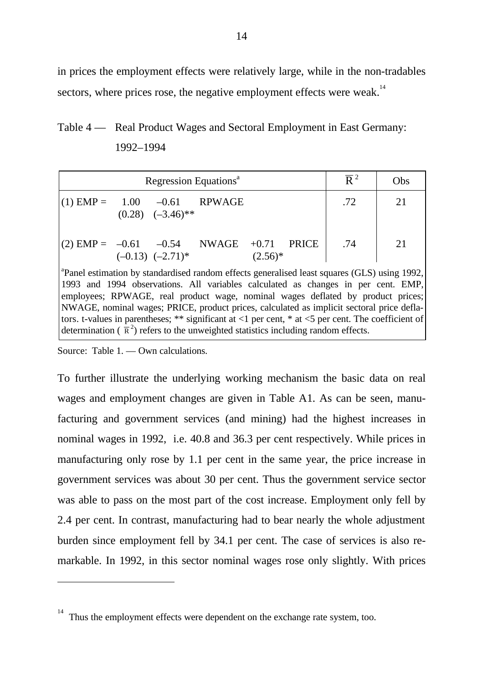in prices the employment effects were relatively large, while in the non-tradables sectors, where prices rose, the negative employment effects were weak.<sup>14</sup>

Table 4 — Real Product Wages and Sectoral Employment in East Germany: 1992–1994

| Regression Equations <sup>a</sup>                                                                                                                                                             |  |                                  |  |            |  | $\overline{R}^2$ | Obs |
|-----------------------------------------------------------------------------------------------------------------------------------------------------------------------------------------------|--|----------------------------------|--|------------|--|------------------|-----|
| $(1)$ EMP = 1.00 -0.61 RPWAGE                                                                                                                                                                 |  | $(0.28)$ $(-3.46)$ <sup>**</sup> |  |            |  | .72              | 21  |
| $(2)$ EMP = $-0.61$ $-0.54$ NWAGE $+0.71$ PRICE                                                                                                                                               |  | $(-0.13)$ $(-2.71)$ <sup>*</sup> |  | $(2.56)^*$ |  | .74              | 21  |
| <sup>a</sup> Panel estimation by standardised random effects generalised least squares (GLS) using 1992,<br>1993 and 1994 observations. All variables calculated as changes in per cent. EMP, |  |                                  |  |            |  |                  |     |

1993 and 1994 observations. All variables calculated as changes in per cent. EMP, employees; RPWAGE, real product wage, nominal wages deflated by product prices; NWAGE, nominal wages; PRICE, product prices, calculated as implicit sectoral price deflators. t-values in parentheses; \*\* significant at  $\langle 1 \rangle$  per cent, \* at  $\langle 5 \rangle$  per cent. The coefficient of determination ( $\bar{\mathbf{R}}^2$ ) refers to the unweighted statistics including random effects.

Source: Table 1. — Own calculations.

 $\overline{a}$ 

To further illustrate the underlying working mechanism the basic data on real wages and employment changes are given in Table A1. As can be seen, manufacturing and government services (and mining) had the highest increases in nominal wages in 1992, i.e. 40.8 and 36.3 per cent respectively. While prices in manufacturing only rose by 1.1 per cent in the same year, the price increase in government services was about 30 per cent. Thus the government service sector was able to pass on the most part of the cost increase. Employment only fell by 2.4 per cent. In contrast, manufacturing had to bear nearly the whole adjustment burden since employment fell by 34.1 per cent. The case of services is also remarkable. In 1992, in this sector nominal wages rose only slightly. With prices

<sup>14</sup> Thus the employment effects were dependent on the exchange rate system, too.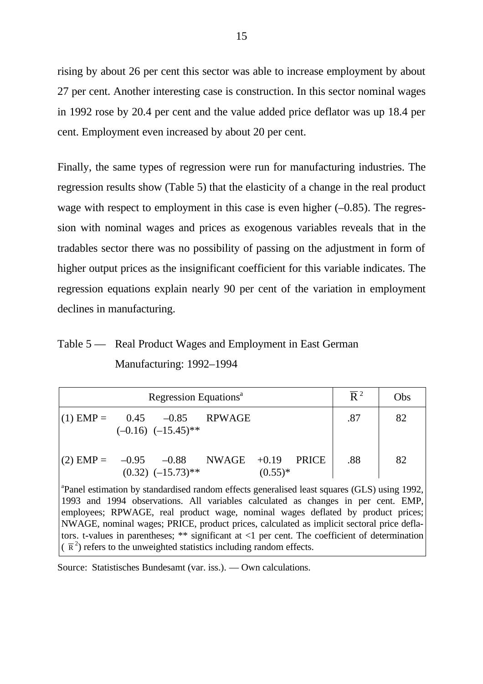rising by about 26 per cent this sector was able to increase employment by about 27 per cent. Another interesting case is construction. In this sector nominal wages in 1992 rose by 20.4 per cent and the value added price deflator was up 18.4 per cent. Employment even increased by about 20 per cent.

Finally, the same types of regression were run for manufacturing industries. The regression results show (Table 5) that the elasticity of a change in the real product wage with respect to employment in this case is even higher  $(-0.85)$ . The regression with nominal wages and prices as exogenous variables reveals that in the tradables sector there was no possibility of passing on the adjustment in form of higher output prices as the insignificant coefficient for this variable indicates. The regression equations explain nearly 90 per cent of the variation in employment declines in manufacturing.

## Table 5 — Real Product Wages and Employment in East German Manufacturing: 1992–1994

| Regression Equations <sup>a</sup> |  |                                    |  |                      |              | $\overline{R}^2$ | Obs |
|-----------------------------------|--|------------------------------------|--|----------------------|--------------|------------------|-----|
| $(1)$ EMP = $0.45$ -0.85 RPWAGE   |  | $(-0.16)$ $(-15.45)$ <sup>**</sup> |  |                      |              | .87              | 82  |
| (2) $EMP = -0.95 -0.88$ NWAGE     |  | $(0.32)$ $(-15.73)$ <sup>**</sup>  |  | $+0.19$<br>$(0.55)*$ | <b>PRICE</b> | .88              | 82  |

<sup>a</sup>Panel estimation by standardised random effects generalised least squares (GLS) using 1992, 1993 and 1994 observations. All variables calculated as changes in per cent. EMP, employees; RPWAGE, real product wage, nominal wages deflated by product prices; NWAGE, nominal wages; PRICE, product prices, calculated as implicit sectoral price deflators. t-values in parentheses; \*\* significant at <1 per cent. The coefficient of determination  $(\overline{R}^2)$  refers to the unweighted statistics including random effects.

Source: Statistisches Bundesamt (var. iss.). — Own calculations.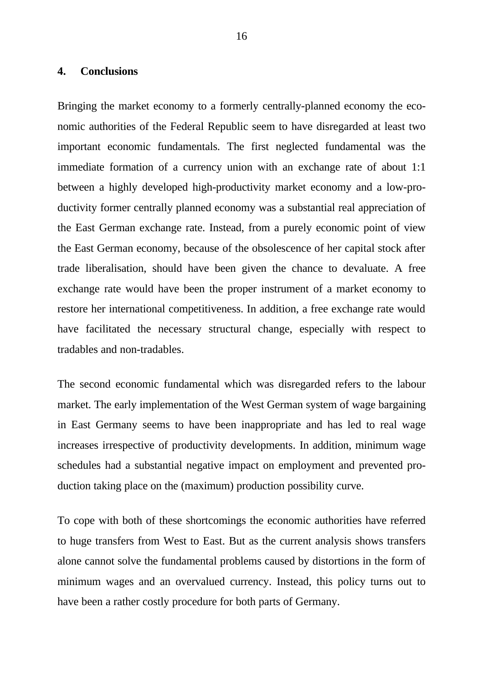#### **4. Conclusions**

Bringing the market economy to a formerly centrally-planned economy the economic authorities of the Federal Republic seem to have disregarded at least two important economic fundamentals. The first neglected fundamental was the immediate formation of a currency union with an exchange rate of about 1:1 between a highly developed high-productivity market economy and a low-productivity former centrally planned economy was a substantial real appreciation of the East German exchange rate. Instead, from a purely economic point of view the East German economy, because of the obsolescence of her capital stock after trade liberalisation, should have been given the chance to devaluate. A free exchange rate would have been the proper instrument of a market economy to restore her international competitiveness. In addition, a free exchange rate would have facilitated the necessary structural change, especially with respect to tradables and non-tradables.

The second economic fundamental which was disregarded refers to the labour market. The early implementation of the West German system of wage bargaining in East Germany seems to have been inappropriate and has led to real wage increases irrespective of productivity developments. In addition, minimum wage schedules had a substantial negative impact on employment and prevented production taking place on the (maximum) production possibility curve.

To cope with both of these shortcomings the economic authorities have referred to huge transfers from West to East. But as the current analysis shows transfers alone cannot solve the fundamental problems caused by distortions in the form of minimum wages and an overvalued currency. Instead, this policy turns out to have been a rather costly procedure for both parts of Germany.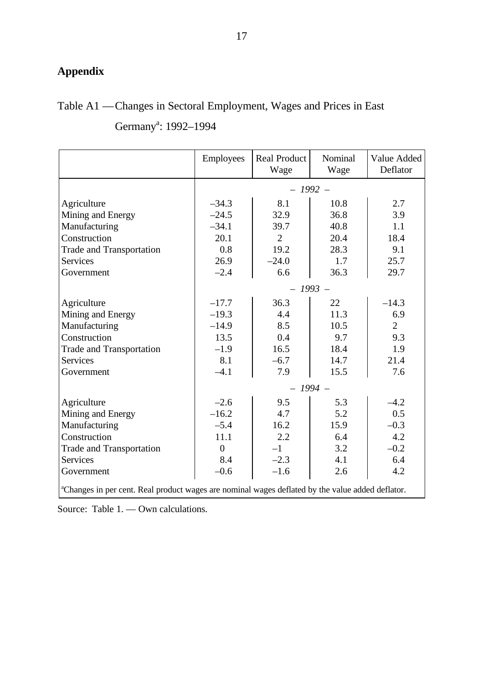## **Appendix**

## Table A1 —Changes in Sectoral Employment, Wages and Prices in East

|                                                                                                              | <b>Employees</b> | <b>Real Product</b><br>Wage | Nominal<br>Wage | Value Added<br>Deflator |  |  |
|--------------------------------------------------------------------------------------------------------------|------------------|-----------------------------|-----------------|-------------------------|--|--|
|                                                                                                              | $-1992-$         |                             |                 |                         |  |  |
| Agriculture                                                                                                  | $-34.3$          | 8.1                         | 10.8            | 2.7                     |  |  |
| Mining and Energy                                                                                            | $-24.5$          | 32.9                        | 36.8            | 3.9                     |  |  |
| Manufacturing                                                                                                | $-34.1$          | 39.7                        | 40.8            | 1.1                     |  |  |
| Construction                                                                                                 | 20.1             | $\overline{2}$              | 20.4            | 18.4                    |  |  |
| <b>Trade and Transportation</b>                                                                              | 0.8              | 19.2                        | 28.3            | 9.1                     |  |  |
| <b>Services</b>                                                                                              | 26.9             | $-24.0$                     | 1.7             | 25.7                    |  |  |
| Government                                                                                                   | $-2.4$           | 6.6                         | 36.3            | 29.7                    |  |  |
|                                                                                                              | $-1993-$         |                             |                 |                         |  |  |
| Agriculture                                                                                                  | $-17.7$          | 36.3                        | 22              | $-14.3$                 |  |  |
| Mining and Energy                                                                                            | $-19.3$          | 4.4                         | 11.3            | 6.9                     |  |  |
| Manufacturing                                                                                                | $-14.9$          | 8.5                         | 10.5            | $\overline{2}$          |  |  |
| Construction                                                                                                 | 13.5             | 0.4                         | 9.7             | 9.3                     |  |  |
| <b>Trade and Transportation</b>                                                                              | $-1.9$           | 16.5                        | 18.4            | 1.9                     |  |  |
| <b>Services</b>                                                                                              | 8.1              | $-6.7$                      | 14.7            | 21.4                    |  |  |
| Government                                                                                                   | $-4.1$           | 7.9                         | 15.5            | 7.6                     |  |  |
|                                                                                                              |                  | $-1994-$                    |                 |                         |  |  |
| Agriculture                                                                                                  | $-2.6$           | 9.5                         | 5.3             | $-4.2$                  |  |  |
| Mining and Energy                                                                                            | $-16.2$          | 4.7                         | 5.2             | 0.5                     |  |  |
| Manufacturing                                                                                                | $-5.4$           | 16.2                        | 15.9            | $-0.3$                  |  |  |
| Construction                                                                                                 | 11.1             | 2.2                         | 6.4             | 4.2                     |  |  |
| <b>Trade and Transportation</b>                                                                              | $\overline{0}$   | $-1$                        | 3.2             | $-0.2$                  |  |  |
| <b>Services</b>                                                                                              | 8.4              | $-2.3$                      | 4.1             | 6.4                     |  |  |
| Government                                                                                                   | $-0.6$           | $-1.6$                      | 2.6             | 4.2                     |  |  |
| <sup>a</sup> Changes in per cent. Real product wages are nominal wages deflated by the value added deflator. |                  |                             |                 |                         |  |  |

Germany<sup>a</sup>: 1992-1994

Source: Table 1. — Own calculations.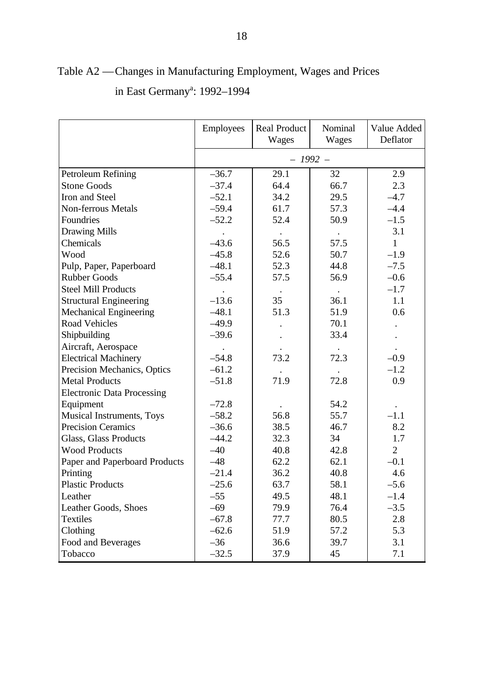|                                   | Employees | <b>Real Product</b><br>Wages | Nominal<br>Wages | Value Added<br>Deflator |
|-----------------------------------|-----------|------------------------------|------------------|-------------------------|
|                                   |           | $-1992-$                     |                  |                         |
| Petroleum Refining                | $-36.7$   | 29.1                         | 32               | 2.9                     |
| <b>Stone Goods</b>                | $-37.4$   | 64.4                         | 66.7             | 2.3                     |
| Iron and Steel                    | $-52.1$   | 34.2                         | 29.5             | $-4.7$                  |
| <b>Non-ferrous Metals</b>         | $-59.4$   | 61.7                         | 57.3             | $-4.4$                  |
| Foundries                         | $-52.2$   | 52.4                         | 50.9             | $-1.5$                  |
| <b>Drawing Mills</b>              |           |                              |                  | 3.1                     |
| Chemicals                         | $-43.6$   | 56.5                         | 57.5             | $\mathbf{1}$            |
| Wood                              | $-45.8$   | 52.6                         | 50.7             | $-1.9$                  |
| Pulp, Paper, Paperboard           | $-48.1$   | 52.3                         | 44.8             | $-7.5$                  |
| <b>Rubber Goods</b>               | $-55.4$   | 57.5                         | 56.9             | $-0.6$                  |
| <b>Steel Mill Products</b>        |           |                              |                  | $-1.7$                  |
| <b>Structural Engineering</b>     | $-13.6$   | 35                           | 36.1             | 1.1                     |
| <b>Mechanical Engineering</b>     | $-48.1$   | 51.3                         | 51.9             | 0.6                     |
| <b>Road Vehicles</b>              | $-49.9$   |                              | 70.1             |                         |
| Shipbuilding                      | $-39.6$   |                              | 33.4             |                         |
| Aircraft, Aerospace               |           |                              |                  |                         |
| <b>Electrical Machinery</b>       | $-54.8$   | 73.2                         | 72.3             | $-0.9$                  |
| Precision Mechanics, Optics       | $-61.2$   |                              |                  | $-1.2$                  |
| <b>Metal Products</b>             | $-51.8$   | 71.9                         | 72.8             | 0.9                     |
| <b>Electronic Data Processing</b> |           |                              |                  |                         |
| Equipment                         | $-72.8$   |                              | 54.2             |                         |
| Musical Instruments, Toys         | $-58.2$   | 56.8                         | 55.7             | $-1.1$                  |
| <b>Precision Ceramics</b>         | $-36.6$   | 38.5                         | 46.7             | 8.2                     |
| Glass, Glass Products             | $-44.2$   | 32.3                         | 34               | 1.7                     |
| <b>Wood Products</b>              | $-40$     | 40.8                         | 42.8             | $\overline{2}$          |
| Paper and Paperboard Products     | $-48$     | 62.2                         | 62.1             | $-0.1$                  |
| Printing                          | $-21.4$   | 36.2                         | 40.8             | 4.6                     |
| <b>Plastic Products</b>           | $-25.6$   | 63.7                         | 58.1             | $-5.6$                  |
| Leather                           | $-55$     | 49.5                         | 48.1             | $-1.4$                  |
| Leather Goods, Shoes              | $-69$     | 79.9                         | 76.4             | $-3.5$                  |
| <b>Textiles</b>                   | $-67.8$   | 77.7                         | 80.5             | 2.8                     |
| Clothing                          | $-62.6$   | 51.9                         | 57.2             | 5.3                     |
| Food and Beverages                | $-36$     | 36.6                         | 39.7             | 3.1                     |
| Tobacco                           | $-32.5$   | 37.9                         | 45               | 7.1                     |

# Table A2 —Changes in Manufacturing Employment, Wages and Prices in East Germany<sup>a</sup>: 1992–1994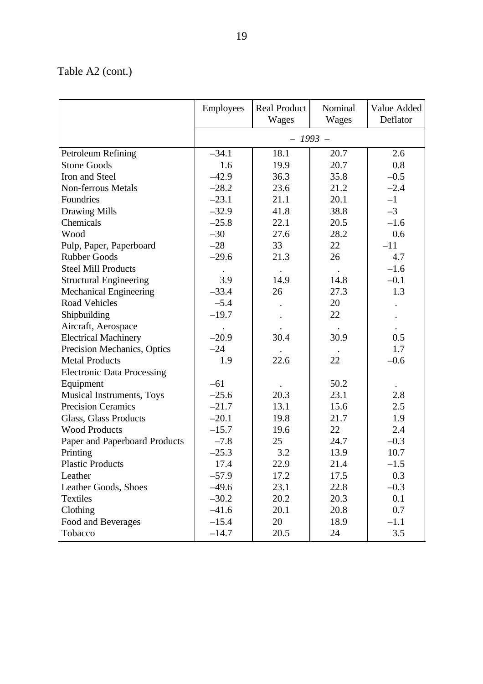# Table A2 (cont.)

|                                   | Employees | <b>Real Product</b><br>Wages | Nominal<br>Wages | Value Added<br>Deflator |
|-----------------------------------|-----------|------------------------------|------------------|-------------------------|
|                                   |           | $-1993-$                     |                  |                         |
| Petroleum Refining                | $-34.1$   | 18.1                         | 20.7             | 2.6                     |
| <b>Stone Goods</b>                | 1.6       | 19.9                         | 20.7             | 0.8                     |
| Iron and Steel                    | $-42.9$   | 36.3                         | 35.8             | $-0.5$                  |
| <b>Non-ferrous Metals</b>         | $-28.2$   | 23.6                         | 21.2             | $-2.4$                  |
| Foundries                         | $-23.1$   | 21.1                         | 20.1             | $-1$                    |
| <b>Drawing Mills</b>              | $-32.9$   | 41.8                         | 38.8             | $-3$                    |
| Chemicals                         | $-25.8$   | 22.1                         | 20.5             | $-1.6$                  |
| Wood                              | $-30$     | 27.6                         | 28.2             | 0.6                     |
| Pulp, Paper, Paperboard           | $-28$     | 33                           | 22               | $-11$                   |
| <b>Rubber Goods</b>               | $-29.6$   | 21.3                         | 26               | 4.7                     |
| <b>Steel Mill Products</b>        |           |                              |                  | $-1.6$                  |
| <b>Structural Engineering</b>     | 3.9       | 14.9                         | 14.8             | $-0.1$                  |
| <b>Mechanical Engineering</b>     | $-33.4$   | 26                           | 27.3             | 1.3                     |
| <b>Road Vehicles</b>              | $-5.4$    |                              | 20               |                         |
| Shipbuilding                      | $-19.7$   |                              | 22               |                         |
| Aircraft, Aerospace               |           |                              |                  |                         |
| <b>Electrical Machinery</b>       | $-20.9$   | 30.4                         | 30.9             | 0.5                     |
| Precision Mechanics, Optics       | $-24$     |                              |                  | 1.7                     |
| <b>Metal Products</b>             | 1.9       | 22.6                         | 22               | $-0.6$                  |
| <b>Electronic Data Processing</b> |           |                              |                  |                         |
| Equipment                         | $-61$     |                              | 50.2             |                         |
| Musical Instruments, Toys         | $-25.6$   | 20.3                         | 23.1             | 2.8                     |
| <b>Precision Ceramics</b>         | $-21.7$   | 13.1                         | 15.6             | 2.5                     |
| Glass, Glass Products             | $-20.1$   | 19.8                         | 21.7             | 1.9                     |
| <b>Wood Products</b>              | $-15.7$   | 19.6                         | 22               | 2.4                     |
| Paper and Paperboard Products     | $-7.8$    | 25                           | 24.7             | $-0.3$                  |
| Printing                          | $-25.3$   | 3.2                          | 13.9             | 10.7                    |
| <b>Plastic Products</b>           | 17.4      | 22.9                         | 21.4             | $-1.5$                  |
| Leather                           | $-57.9$   | 17.2                         | 17.5             | 0.3                     |
| Leather Goods, Shoes              | $-49.6$   | 23.1                         | 22.8             | $-0.3$                  |
| <b>Textiles</b>                   | $-30.2$   | 20.2                         | 20.3             | 0.1                     |
| Clothing                          | $-41.6$   | 20.1                         | 20.8             | 0.7                     |
| Food and Beverages                | $-15.4$   | 20                           | 18.9             | $-1.1$                  |
| Tobacco                           | $-14.7$   | 20.5                         | 24               | 3.5                     |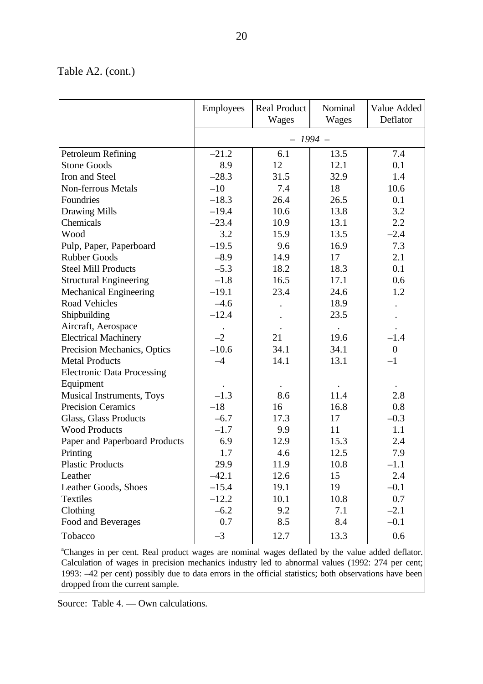### Table A2. (cont.)

|                                                                                                 | <b>Employees</b> | <b>Real Product</b><br>Wages | Nominal<br>Wages | Value Added<br>Deflator |  |  |  |  |
|-------------------------------------------------------------------------------------------------|------------------|------------------------------|------------------|-------------------------|--|--|--|--|
|                                                                                                 |                  | $-1994-$                     |                  |                         |  |  |  |  |
| Petroleum Refining                                                                              | $-21.2$          | 6.1                          | 13.5             | 7.4                     |  |  |  |  |
| <b>Stone Goods</b>                                                                              | 8.9              | 12                           | 12.1             | 0.1                     |  |  |  |  |
| Iron and Steel                                                                                  | $-28.3$          | 31.5                         | 32.9             | 1.4                     |  |  |  |  |
| <b>Non-ferrous Metals</b>                                                                       | $-10$            | 7.4                          | 18               | 10.6                    |  |  |  |  |
| Foundries                                                                                       | $-18.3$          | 26.4                         | 26.5             | 0.1                     |  |  |  |  |
| <b>Drawing Mills</b>                                                                            | $-19.4$          | 10.6                         | 13.8             | 3.2                     |  |  |  |  |
| Chemicals                                                                                       | $-23.4$          | 10.9                         | 13.1             | 2.2                     |  |  |  |  |
| Wood                                                                                            | 3.2              | 15.9                         | 13.5             | $-2.4$                  |  |  |  |  |
| Pulp, Paper, Paperboard                                                                         | $-19.5$          | 9.6                          | 16.9             | 7.3                     |  |  |  |  |
| <b>Rubber Goods</b>                                                                             | $-8.9$           | 14.9                         | 17               | 2.1                     |  |  |  |  |
| <b>Steel Mill Products</b>                                                                      | $-5.3$           | 18.2                         | 18.3             | 0.1                     |  |  |  |  |
| <b>Structural Engineering</b>                                                                   | $-1.8$           | 16.5                         | 17.1             | 0.6                     |  |  |  |  |
| <b>Mechanical Engineering</b>                                                                   | $-19.1$          | 23.4                         | 24.6             | 1.2                     |  |  |  |  |
| <b>Road Vehicles</b>                                                                            | $-4.6$           |                              | 18.9             |                         |  |  |  |  |
| Shipbuilding                                                                                    | $-12.4$          |                              | 23.5             |                         |  |  |  |  |
| Aircraft, Aerospace                                                                             |                  |                              |                  |                         |  |  |  |  |
| <b>Electrical Machinery</b>                                                                     | $-2$             | 21                           | 19.6             | $-1.4$                  |  |  |  |  |
| Precision Mechanics, Optics                                                                     | $-10.6$          | 34.1                         | 34.1             | $\boldsymbol{0}$        |  |  |  |  |
| <b>Metal Products</b>                                                                           | $-4$             | 14.1                         | 13.1             | $-1$                    |  |  |  |  |
| <b>Electronic Data Processing</b>                                                               |                  |                              |                  |                         |  |  |  |  |
| Equipment                                                                                       |                  |                              |                  |                         |  |  |  |  |
| Musical Instruments, Toys                                                                       | $-1.3$           | 8.6                          | 11.4             | 2.8                     |  |  |  |  |
| <b>Precision Ceramics</b>                                                                       | $-18$            | 16                           | 16.8             | 0.8                     |  |  |  |  |
| Glass, Glass Products                                                                           | $-6.7$           | 17.3                         | 17               | $-0.3$                  |  |  |  |  |
| <b>Wood Products</b>                                                                            | $-1.7$           | 9.9                          | 11               | 1.1                     |  |  |  |  |
| Paper and Paperboard Products                                                                   | 6.9              | 12.9                         | 15.3             | 2.4                     |  |  |  |  |
| Printing                                                                                        | 1.7              | 4.6                          | 12.5             | 7.9                     |  |  |  |  |
| <b>Plastic Products</b>                                                                         | 29.9             | 11.9                         | 10.8             | $-1.1$                  |  |  |  |  |
| Leather                                                                                         | $-42.1$          | 12.6                         | 15               | 2.4                     |  |  |  |  |
| Leather Goods, Shoes                                                                            | $-15.4$          | 19.1                         | 19               | $-0.1$                  |  |  |  |  |
| <b>Textiles</b>                                                                                 | $-12.2$          | 10.1                         | 10.8             | 0.7                     |  |  |  |  |
| Clothing                                                                                        | $-6.2$           | 9.2                          | 7.1              | $-2.1$                  |  |  |  |  |
| Food and Beverages                                                                              | 0.7              | 8.5                          | 8.4              | $-0.1$                  |  |  |  |  |
| Tobacco                                                                                         | $-3$             | 12.7                         | 13.3             | 0.6                     |  |  |  |  |
| "Changes in per cent. Real product wages are nominal wages deflated by the value added deflator |                  |                              |                  |                         |  |  |  |  |

<sup>a</sup>Changes in per cent. Real product wages are nominal wages deflated by the value added deflator. Calculation of wages in precision mechanics industry led to abnormal values (1992: 274 per cent; 1993: –42 per cent) possibly due to data errors in the official statistics; both observations have been dropped from the current sample.

Source: Table 4. — Own calculations.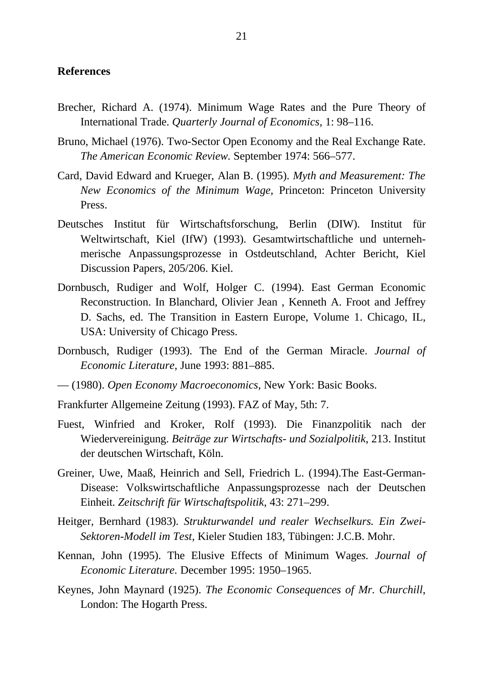#### **References**

- Brecher, Richard A. (1974). Minimum Wage Rates and the Pure Theory of International Trade. *Quarterly Journal of Economics,* 1: 98–116.
- Bruno, Michael (1976). Two-Sector Open Economy and the Real Exchange Rate. *The American Economic Review.* September 1974: 566–577.
- Card, David Edward and Krueger, Alan B. (1995). *Myth and Measurement: The New Economics of the Minimum Wage*, Princeton: Princeton University Press.
- Deutsches Institut für Wirtschaftsforschung, Berlin (DIW). Institut für Weltwirtschaft, Kiel (IfW) (1993). Gesamtwirtschaftliche und unternehmerische Anpassungsprozesse in Ostdeutschland, Achter Bericht, Kiel Discussion Papers, 205/206. Kiel.
- Dornbusch, Rudiger and Wolf, Holger C. (1994). East German Economic Reconstruction. In Blanchard, Olivier Jean , Kenneth A. Froot and Jeffrey D. Sachs, ed. The Transition in Eastern Europe, Volume 1. Chicago, IL, USA: University of Chicago Press.
- Dornbusch, Rudiger (1993). The End of the German Miracle. *Journal of Economic Literature*, June 1993: 881–885.
- (1980). *Open Economy Macroeconomics*, New York: Basic Books.
- Frankfurter Allgemeine Zeitung (1993). FAZ of May, 5th: 7.
- Fuest, Winfried and Kroker, Rolf (1993). Die Finanzpolitik nach der Wiedervereinigung. *Beiträge zur Wirtschafts- und Sozialpolitik*, 213. Institut der deutschen Wirtschaft, Köln.
- Greiner, Uwe, Maaß, Heinrich and Sell, Friedrich L. (1994).The East-German-Disease: Volkswirtschaftliche Anpassungsprozesse nach der Deutschen Einheit. *Zeitschrift für Wirtschaftspolitik*, 43: 271–299.
- Heitger, Bernhard (1983). *Strukturwandel und realer Wechselkurs. Ein Zwei-Sektoren-Modell im Test,* Kieler Studien 183, Tübingen: J.C.B. Mohr.
- Kennan, John (1995). The Elusive Effects of Minimum Wage*s. Journal of Economic Literature.* December 1995: 1950–1965.
- Keynes, John Maynard (1925). *The Economic Consequences of Mr. Churchill*, London: The Hogarth Press.